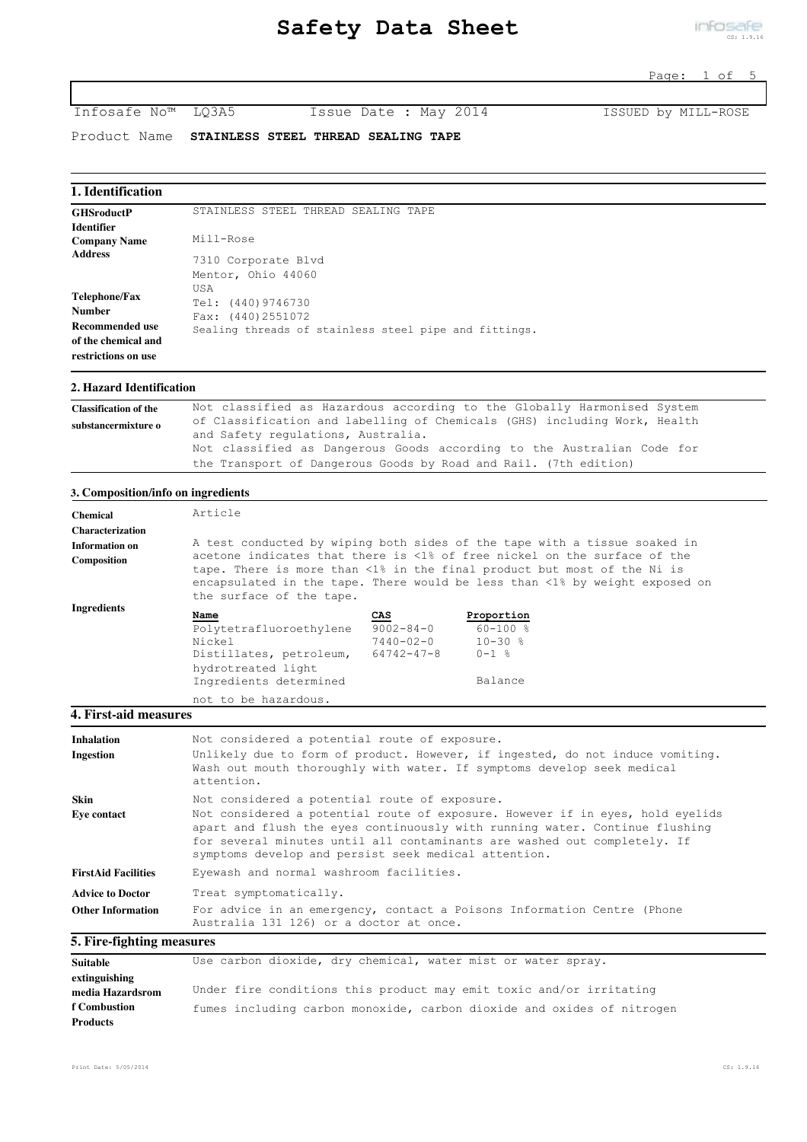Infosafe No™ LQ3A5 Issue Date : May 2014 ISSUED by MILL-ROSE

Product Name **STAINLESS STEEL THREAD SEALING TAPE**

### **1. Identification**

| <b>GHSroductP</b>                          | STAINLESS STEEL THREAD SEALING TAPE                   |
|--------------------------------------------|-------------------------------------------------------|
| Identifier                                 |                                                       |
| <b>Company Name</b>                        | Mill-Rose                                             |
| <b>Address</b>                             | 7310 Corporate Blvd                                   |
|                                            | Mentor, Ohio 44060                                    |
| Telephone/Fax<br><b>Number</b>             | USA<br>Tel: (440)9746730<br>Fax: (440)2551072         |
| Recommended use                            | Sealing threads of stainless steel pipe and fittings. |
| of the chemical and<br>restrictions on use |                                                       |

### **2. Hazard Identification**

| <b>Classification of the</b> | Not classified as Hazardous according to the Globally Harmonised System   |
|------------------------------|---------------------------------------------------------------------------|
| substancermixture o          | of Classification and labelling of Chemicals (GHS) including Work, Health |
|                              | and Safety regulations, Australia.                                        |
|                              | Not classified as Dangerous Goods according to the Australian Code for    |
|                              | the Transport of Dangerous Goods by Road and Rail. (7th edition)          |

## **3. Composition/info on ingredients**

| <b>Chemical</b>         | Article                  |                 |                                                                                                                                                                                                                                    |
|-------------------------|--------------------------|-----------------|------------------------------------------------------------------------------------------------------------------------------------------------------------------------------------------------------------------------------------|
| <b>Characterization</b> |                          |                 |                                                                                                                                                                                                                                    |
| Information on          |                          |                 | A test conducted by wiping both sides of the tape with a tissue soaked in                                                                                                                                                          |
| Composition             | the surface of the tape. |                 | acetone indicates that there is <1% of free nickel on the surface of the<br>tape. There is more than <1% in the final product but most of the Ni is<br>encapsulated in the tape. There would be less than <1% by weight exposed on |
| Ingredients             | Name                     | CAS             | Proportion                                                                                                                                                                                                                         |
|                         | Polytetrafluoroethylene  | $9002 - 84 - 0$ | $60 - 100$ %                                                                                                                                                                                                                       |
|                         | Nickel                   | $7440 - 02 - 0$ | $10 - 30$ %                                                                                                                                                                                                                        |
|                         | Distillates, petroleum,  | 64742-47-8      | $0 - 1$ %                                                                                                                                                                                                                          |
|                         | hydrotreated light       |                 |                                                                                                                                                                                                                                    |
|                         | Ingredients determined   |                 | Balance                                                                                                                                                                                                                            |
|                         | not to be hazardous.     |                 |                                                                                                                                                                                                                                    |
| 4. First-aid measures   |                          |                 |                                                                                                                                                                                                                                    |

| <b>Inhalation</b><br><b>Ingestion</b> | Not considered a potential route of exposure.<br>Unlikely due to form of product. However, if ingested, do not induce vomiting.                                                                                                                                                                   |
|---------------------------------------|---------------------------------------------------------------------------------------------------------------------------------------------------------------------------------------------------------------------------------------------------------------------------------------------------|
|                                       | Wash out mouth thoroughly with water. If symptoms develop seek medical<br>attention.                                                                                                                                                                                                              |
| Skin                                  | Not considered a potential route of exposure.                                                                                                                                                                                                                                                     |
| <b>Eve contact</b>                    | Not considered a potential route of exposure. However if in eyes, hold eyelids<br>apart and flush the eyes continuously with running water. Continue flushing<br>for several minutes until all contaminants are washed out completely. If<br>symptoms develop and persist seek medical attention. |
| <b>FirstAid Facilities</b>            | Eyewash and normal washroom facilities.                                                                                                                                                                                                                                                           |
| <b>Advice to Doctor</b>               | Treat symptomatically.                                                                                                                                                                                                                                                                            |
| <b>Other Information</b>              | For advice in an emergency, contact a Poisons Information Centre (Phone<br>Australia 131 126) or a doctor at once.                                                                                                                                                                                |
| . .<br>$\mathbf{a}$                   |                                                                                                                                                                                                                                                                                                   |

# **5. Fire-fighting measures**

| Suitable            | Use carbon dioxide, dry chemical, water mist or water spray.           |
|---------------------|------------------------------------------------------------------------|
| extinguishing       |                                                                        |
| media Hazardsrom    | Under fire conditions this product may emit toxic and/or irritating    |
| <b>f</b> Combustion | fumes including carbon monoxide, carbon dioxide and oxides of nitrogen |
| <b>Products</b>     |                                                                        |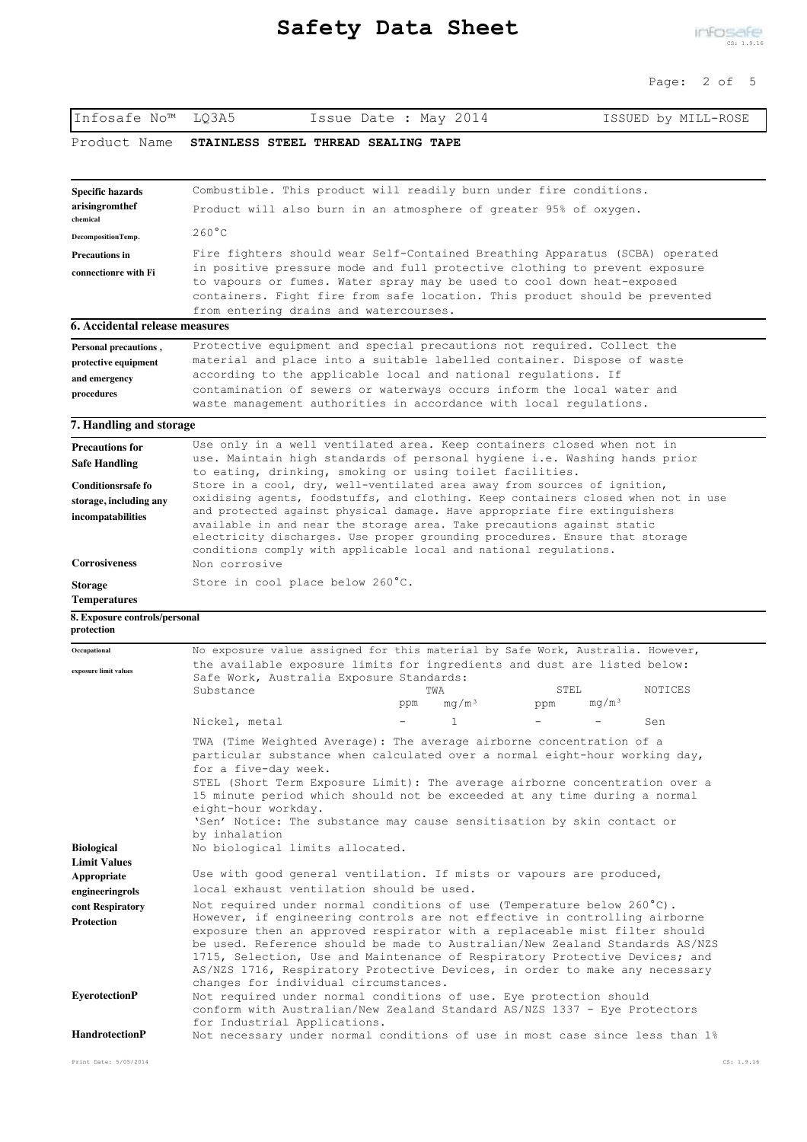| Infosafe No™                                                                                                               | LQ3A5<br>Issue Date : May 2014                                                                                                                                                                                                                                                                                                                                                                                                                                                                                                                                                                                                                                                                   | ISSUED by MILL-ROSE                         |
|----------------------------------------------------------------------------------------------------------------------------|--------------------------------------------------------------------------------------------------------------------------------------------------------------------------------------------------------------------------------------------------------------------------------------------------------------------------------------------------------------------------------------------------------------------------------------------------------------------------------------------------------------------------------------------------------------------------------------------------------------------------------------------------------------------------------------------------|---------------------------------------------|
| Product Name                                                                                                               | STAINLESS STEEL THREAD SEALING TAPE                                                                                                                                                                                                                                                                                                                                                                                                                                                                                                                                                                                                                                                              |                                             |
| Specific hazards<br>arisingromthef<br>chemical                                                                             | Combustible. This product will readily burn under fire conditions.<br>Product will also burn in an atmosphere of greater 95% of oxygen.                                                                                                                                                                                                                                                                                                                                                                                                                                                                                                                                                          |                                             |
| DecompositionTemp.                                                                                                         | $260^{\circ}$ C                                                                                                                                                                                                                                                                                                                                                                                                                                                                                                                                                                                                                                                                                  |                                             |
| <b>Precautions in</b><br>connectionre with Fi                                                                              | Fire fighters should wear Self-Contained Breathing Apparatus (SCBA) operated<br>in positive pressure mode and full protective clothing to prevent exposure<br>to vapours or fumes. Water spray may be used to cool down heat-exposed<br>containers. Fight fire from safe location. This product should be prevented<br>from entering drains and watercourses.                                                                                                                                                                                                                                                                                                                                    |                                             |
| 6. Accidental release measures                                                                                             |                                                                                                                                                                                                                                                                                                                                                                                                                                                                                                                                                                                                                                                                                                  |                                             |
| Personal precautions,<br>protective equipment<br>and emergency<br>procedures                                               | Protective equipment and special precautions not required. Collect the<br>material and place into a suitable labelled container. Dispose of waste<br>according to the applicable local and national regulations. If<br>contamination of sewers or waterways occurs inform the local water and<br>waste management authorities in accordance with local regulations.                                                                                                                                                                                                                                                                                                                              |                                             |
| 7. Handling and storage                                                                                                    |                                                                                                                                                                                                                                                                                                                                                                                                                                                                                                                                                                                                                                                                                                  |                                             |
| <b>Precautions for</b><br><b>Safe Handling</b><br><b>Conditionsrsafe fo</b><br>storage, including any<br>incompatabilities | Use only in a well ventilated area. Keep containers closed when not in<br>use. Maintain high standards of personal hygiene i.e. Washing hands prior<br>to eating, drinking, smoking or using toilet facilities.<br>Store in a cool, dry, well-ventilated area away from sources of ignition,<br>oxidising agents, foodstuffs, and clothing. Keep containers closed when not in use<br>and protected against physical damage. Have appropriate fire extinguishers<br>available in and near the storage area. Take precautions against static<br>electricity discharges. Use proper grounding procedures. Ensure that storage<br>conditions comply with applicable local and national regulations. |                                             |
| <b>Corrosiveness</b><br><b>Storage</b>                                                                                     | Non corrosive<br>Store in cool place below 260°C.                                                                                                                                                                                                                                                                                                                                                                                                                                                                                                                                                                                                                                                |                                             |
| <b>Temperatures</b><br>8. Exposure controls/personal                                                                       |                                                                                                                                                                                                                                                                                                                                                                                                                                                                                                                                                                                                                                                                                                  |                                             |
| protection                                                                                                                 |                                                                                                                                                                                                                                                                                                                                                                                                                                                                                                                                                                                                                                                                                                  |                                             |
| Occupational<br>exposure limit values                                                                                      | No exposure value assigned for this material by Safe Work, Australia. However,<br>the available exposure limits for ingredients and dust are listed below:<br>Safe Work, Australia Exposure Standards:<br>Substance<br>TWA<br>mq/m <sup>3</sup><br>ppm                                                                                                                                                                                                                                                                                                                                                                                                                                           | STEL<br>NOTICES<br>mq/m <sup>3</sup><br>ppm |
|                                                                                                                            | Nickel, metal<br>$\mathbf{1}$                                                                                                                                                                                                                                                                                                                                                                                                                                                                                                                                                                                                                                                                    | Sen                                         |
| <b>Biological</b><br><b>Limit Values</b>                                                                                   | TWA (Time Weighted Average): The average airborne concentration of a<br>particular substance when calculated over a normal eight-hour working day,<br>for a five-day week.<br>STEL (Short Term Exposure Limit): The average airborne concentration over a<br>15 minute period which should not be exceeded at any time during a normal<br>eight-hour workday.<br>'Sen' Notice: The substance may cause sensitisation by skin contact or<br>by inhalation<br>No biological limits allocated.                                                                                                                                                                                                      |                                             |
|                                                                                                                            |                                                                                                                                                                                                                                                                                                                                                                                                                                                                                                                                                                                                                                                                                                  |                                             |
| Appropriate<br>engineeringrols<br>cont Respiratory<br><b>Protection</b>                                                    | Use with good general ventilation. If mists or vapours are produced,<br>local exhaust ventilation should be used.<br>Not required under normal conditions of use (Temperature below 260 $^{\circ}$ C).<br>However, if engineering controls are not effective in controlling airborne<br>exposure then an approved respirator with a replaceable mist filter should<br>be used. Reference should be made to Australian/New Zealand Standards AS/NZS<br>1715, Selection, Use and Maintenance of Respiratory Protective Devices; and<br>AS/NZS 1716, Respiratory Protective Devices, in order to make any necessary<br>changes for individual circumstances.                                        |                                             |
| <b>EyerotectionP</b><br><b>HandrotectionP</b>                                                                              | Not required under normal conditions of use. Eye protection should<br>conform with Australian/New Zealand Standard AS/NZS 1337 - Eye Protectors<br>for Industrial Applications.<br>Not necessary under normal conditions of use in most case since less than 1%                                                                                                                                                                                                                                                                                                                                                                                                                                  |                                             |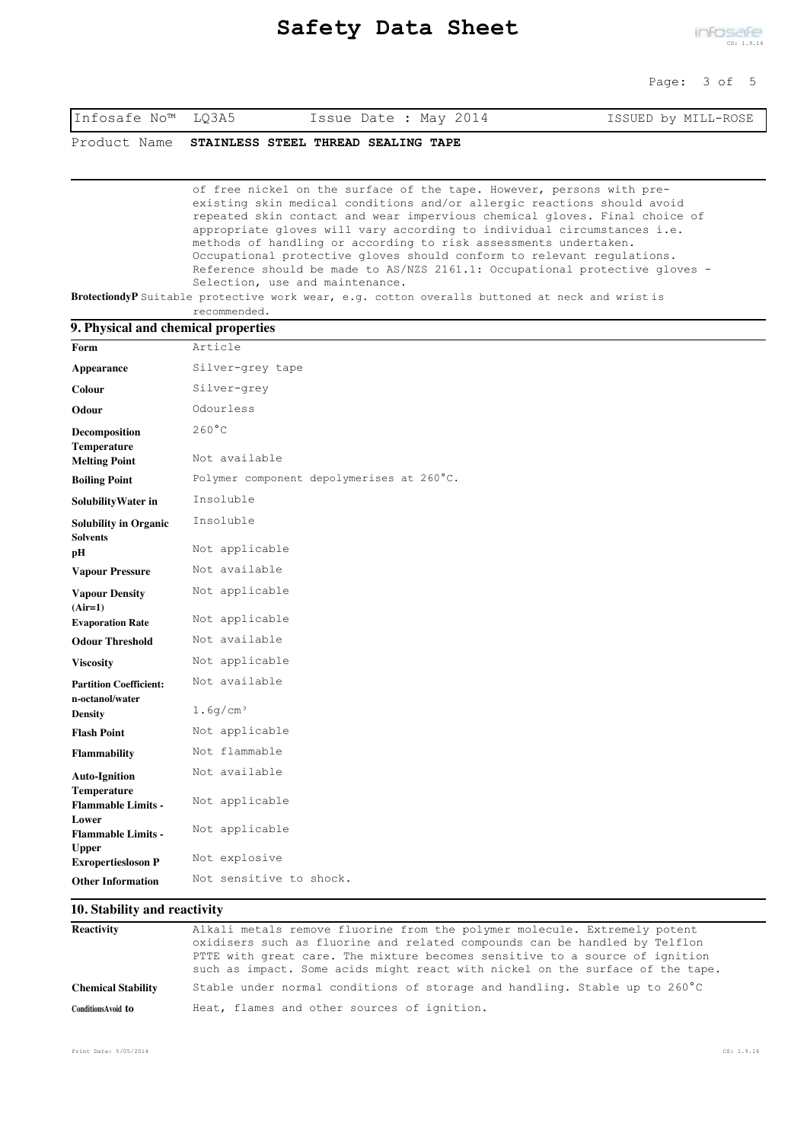|  | Infosafe No™ LQ3A5 | Issue Date : May 2014 | ISSUED by MILL-ROSE |
|--|--------------------|-----------------------|---------------------|
|--|--------------------|-----------------------|---------------------|

Product Name **STAINLESS STEEL THREAD SEALING TAPE**

of free nickel on the surface of the tape. However, persons with preexisting skin medical conditions and/or allergic reactions should avoid repeated skin contact and wear impervious chemical gloves. Final choice of appropriate gloves will vary according to individual circumstances i.e. methods of handling or according to risk assessments undertaken. Occupational protective gloves should conform to relevant regulations. Reference should be made to AS/NZS 2161.1: Occupational protective gloves - Selection, use and maintenance.

**BrotectiondyP** Suitable protective work wear, e.g. cotton overalls buttoned at neck and wrist is recommended.

|  |  | recommenaea |
|--|--|-------------|
|  |  |             |
|  |  |             |

| 9. Physical and chemical properties              |                                           |
|--------------------------------------------------|-------------------------------------------|
| Form                                             | Article                                   |
| <b>Appearance</b>                                | Silver-grey tape                          |
| Colour                                           | Silver-grey                               |
| Odour                                            | Odourless                                 |
| Decomposition<br>Temperature                     | $260^{\circ}$ C                           |
| <b>Melting Point</b>                             | Not available                             |
| <b>Boiling Point</b>                             | Polymer component depolymerises at 260°C. |
| Solubility Water in                              | Insoluble                                 |
| <b>Solubility in Organic</b><br><b>Solvents</b>  | Insoluble                                 |
| pН                                               | Not applicable                            |
| <b>Vapour Pressure</b>                           | Not available                             |
| <b>Vapour Density</b><br>$(Air=1)$               | Not applicable                            |
| <b>Evaporation Rate</b>                          | Not applicable                            |
| <b>Odour Threshold</b>                           | Not available                             |
| <b>Viscosity</b>                                 | Not applicable                            |
| <b>Partition Coefficient:</b><br>n-octanol/water | Not available                             |
| <b>Density</b>                                   | 1.6q/cm <sup>3</sup>                      |
| <b>Flash Point</b>                               | Not applicable                            |
| <b>Flammability</b>                              | Not flammable                             |
| <b>Auto-Ignition</b>                             | Not available                             |
| <b>Temperature</b><br><b>Flammable Limits -</b>  | Not applicable                            |
| Lower<br><b>Flammable Limits -</b>               | Not applicable                            |
| <b>Upper</b><br><b>Exropertiesloson P</b>        | Not explosive                             |
| <b>Other Information</b>                         | Not sensitive to shock.                   |

### **10. Stability and reactivity**

| <b>Reactivity</b>         | Alkali metals remove fluorine from the polymer molecule. Extremely potent                                                                                     |
|---------------------------|---------------------------------------------------------------------------------------------------------------------------------------------------------------|
|                           | oxidisers such as fluorine and related compounds can be handled by Telflon                                                                                    |
|                           | PTTE with great care. The mixture becomes sensitive to a source of ignition<br>such as impact. Some acids might react with nickel on the surface of the tape. |
| <b>Chemical Stability</b> | Stable under normal conditions of storage and handling. Stable up to 260°C                                                                                    |
| Conditions Avoid to       | Heat, flames and other sources of ignition.                                                                                                                   |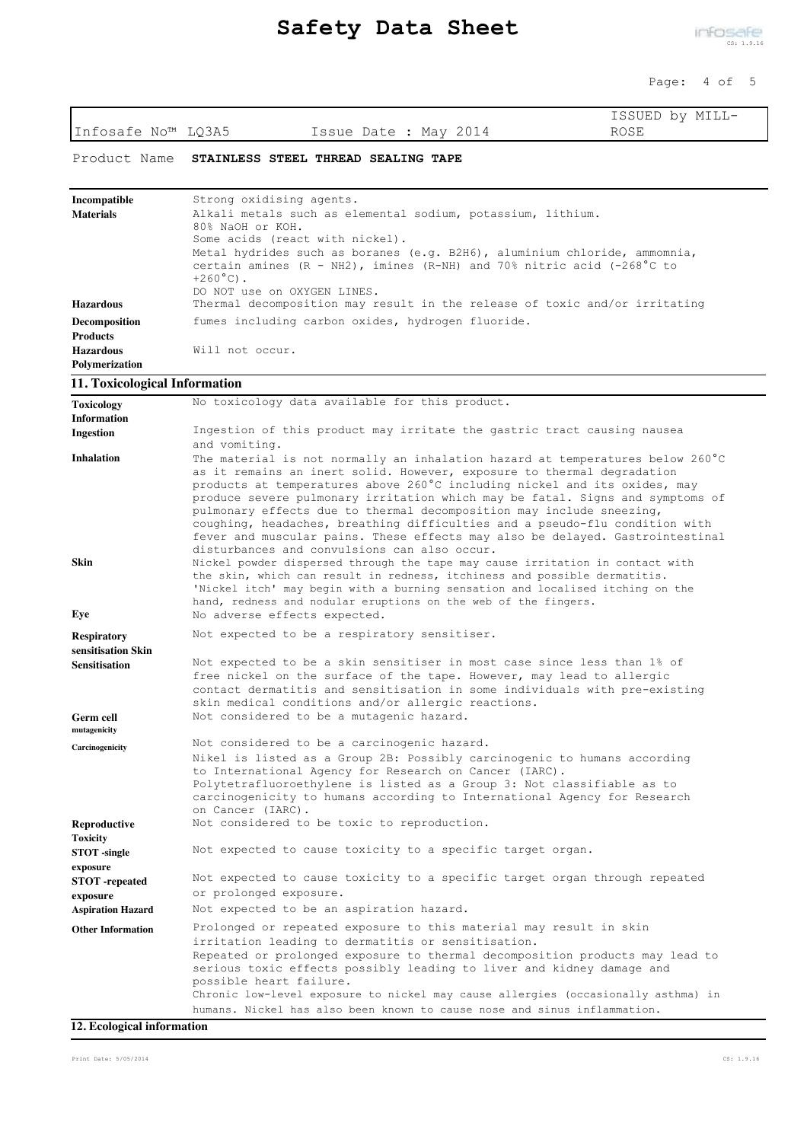Page: 4 of 5

| Infosafe No™ LQ3A5<br>ROSE<br>Issue Date : May 2014<br>Product Name<br>STAINLESS STEEL THREAD SEALING TAPE                                                                                                                                                                                                                                                            |  |
|-----------------------------------------------------------------------------------------------------------------------------------------------------------------------------------------------------------------------------------------------------------------------------------------------------------------------------------------------------------------------|--|
|                                                                                                                                                                                                                                                                                                                                                                       |  |
|                                                                                                                                                                                                                                                                                                                                                                       |  |
| Strong oxidising agents.<br>Incompatible                                                                                                                                                                                                                                                                                                                              |  |
| <b>Materials</b><br>Alkali metals such as elemental sodium, potassium, lithium.<br>80% NaOH or KOH.                                                                                                                                                                                                                                                                   |  |
| Some acids (react with nickel).                                                                                                                                                                                                                                                                                                                                       |  |
| Metal hydrides such as boranes (e.g. B2H6), aluminium chloride, ammomnia,<br>certain amines $(R - NH2)$ , imines $(R-NH)$ and 70% nitric acid $(-268^{\circ}C$ to<br>$+260^{\circ}$ C).                                                                                                                                                                               |  |
| DO NOT use on OXYGEN LINES.<br>Thermal decomposition may result in the release of toxic and/or irritating<br><b>Hazardous</b>                                                                                                                                                                                                                                         |  |
| fumes including carbon oxides, hydrogen fluoride.<br>Decomposition                                                                                                                                                                                                                                                                                                    |  |
| <b>Products</b><br>Will not occur.                                                                                                                                                                                                                                                                                                                                    |  |
| <b>Hazardous</b><br>Polymerization                                                                                                                                                                                                                                                                                                                                    |  |
| 11. Toxicological Information                                                                                                                                                                                                                                                                                                                                         |  |
| No toxicology data available for this product.                                                                                                                                                                                                                                                                                                                        |  |
| Toxicology<br><b>Information</b>                                                                                                                                                                                                                                                                                                                                      |  |
| Ingestion of this product may irritate the gastric tract causing nausea<br><b>Ingestion</b><br>and vomiting.                                                                                                                                                                                                                                                          |  |
| <b>Inhalation</b><br>The material is not normally an inhalation hazard at temperatures below 260°C                                                                                                                                                                                                                                                                    |  |
| as it remains an inert solid. However, exposure to thermal degradation<br>products at temperatures above 260°C including nickel and its oxides, may                                                                                                                                                                                                                   |  |
| produce severe pulmonary irritation which may be fatal. Signs and symptoms of<br>pulmonary effects due to thermal decomposition may include sneezing,<br>coughing, headaches, breathing difficulties and a pseudo-flu condition with<br>fever and muscular pains. These effects may also be delayed. Gastrointestinal                                                 |  |
| disturbances and convulsions can also occur.<br>Skin<br>Nickel powder dispersed through the tape may cause irritation in contact with<br>the skin, which can result in redness, itchiness and possible dermatitis.<br>'Nickel itch' may begin with a burning sensation and localised itching on the<br>hand, redness and nodular eruptions on the web of the fingers. |  |
| No adverse effects expected.<br>Eye                                                                                                                                                                                                                                                                                                                                   |  |
| Not expected to be a respiratory sensitiser.<br><b>Respiratory</b>                                                                                                                                                                                                                                                                                                    |  |
| sensitisation Skin<br>Not expected to be a skin sensitiser in most case since less than 1% of<br><b>Sensitisation</b>                                                                                                                                                                                                                                                 |  |
| free nickel on the surface of the tape. However, may lead to allergic                                                                                                                                                                                                                                                                                                 |  |
| contact dermatitis and sensitisation in some individuals with pre-existing<br>skin medical conditions and/or allergic reactions.                                                                                                                                                                                                                                      |  |
| Not considered to be a mutagenic hazard.<br>Germ cell<br>mutagenicity                                                                                                                                                                                                                                                                                                 |  |
| Not considered to be a carcinogenic hazard.<br>Carcinogenicity                                                                                                                                                                                                                                                                                                        |  |
| Nikel is listed as a Group 2B: Possibly carcinogenic to humans according<br>to International Agency for Research on Cancer (IARC).                                                                                                                                                                                                                                    |  |
| Polytetrafluoroethylene is listed as a Group 3: Not classifiable as to<br>carcinogenicity to humans according to International Agency for Research<br>on Cancer (IARC).                                                                                                                                                                                               |  |
| Not considered to be toxic to reproduction.<br>Reproductive                                                                                                                                                                                                                                                                                                           |  |
| Toxicity<br>Not expected to cause toxicity to a specific target organ.<br>STOT -single                                                                                                                                                                                                                                                                                |  |
| exposure<br>Not expected to cause toxicity to a specific target organ through repeated<br>STOT -repeated                                                                                                                                                                                                                                                              |  |
| or prolonged exposure.<br>exposure<br>Not expected to be an aspiration hazard.<br><b>Aspiration Hazard</b>                                                                                                                                                                                                                                                            |  |
| Prolonged or repeated exposure to this material may result in skin<br><b>Other Information</b>                                                                                                                                                                                                                                                                        |  |
| irritation leading to dermatitis or sensitisation.                                                                                                                                                                                                                                                                                                                    |  |
| Repeated or prolonged exposure to thermal decomposition products may lead to<br>serious toxic effects possibly leading to liver and kidney damage and<br>possible heart failure.                                                                                                                                                                                      |  |
| Chronic low-level exposure to nickel may cause allergies (occasionally asthma) in<br>humans. Nickel has also been known to cause nose and sinus inflammation.                                                                                                                                                                                                         |  |

## **12. Ecological information**